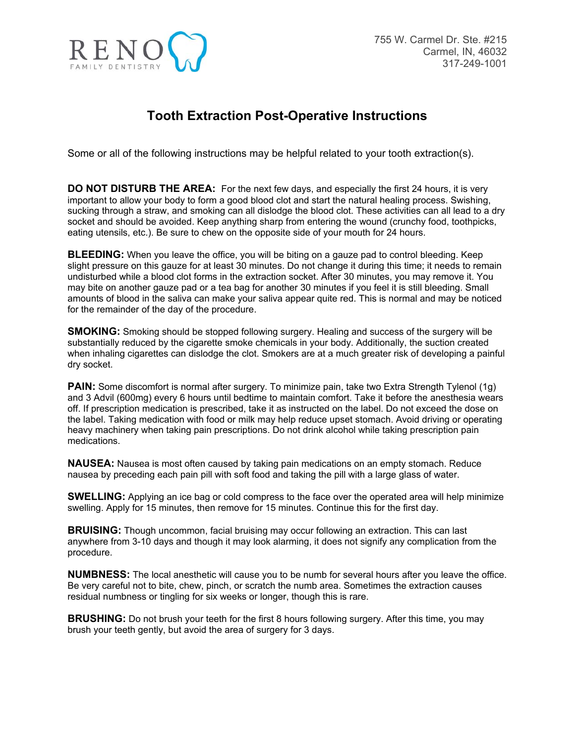

## **Tooth Extraction Post-Operative Instructions**

Some or all of the following instructions may be helpful related to your tooth extraction(s).

**DO NOT DISTURB THE AREA:** For the next few days, and especially the first 24 hours, it is very important to allow your body to form a good blood clot and start the natural healing process. Swishing, sucking through a straw, and smoking can all dislodge the blood clot. These activities can all lead to a dry socket and should be avoided. Keep anything sharp from entering the wound (crunchy food, toothpicks, eating utensils, etc.). Be sure to chew on the opposite side of your mouth for 24 hours.

**BLEEDING:** When you leave the office, you will be biting on a gauze pad to control bleeding. Keep slight pressure on this gauze for at least 30 minutes. Do not change it during this time; it needs to remain undisturbed while a blood clot forms in the extraction socket. After 30 minutes, you may remove it. You may bite on another gauze pad or a tea bag for another 30 minutes if you feel it is still bleeding. Small amounts of blood in the saliva can make your saliva appear quite red. This is normal and may be noticed for the remainder of the day of the procedure.

**SMOKING:** Smoking should be stopped following surgery. Healing and success of the surgery will be substantially reduced by the cigarette smoke chemicals in your body. Additionally, the suction created when inhaling cigarettes can dislodge the clot. Smokers are at a much greater risk of developing a painful dry socket.

**PAIN:** Some discomfort is normal after surgery. To minimize pain, take two Extra Strength Tylenol (1g) and 3 Advil (600mg) every 6 hours until bedtime to maintain comfort. Take it before the anesthesia wears off. If prescription medication is prescribed, take it as instructed on the label. Do not exceed the dose on the label. Taking medication with food or milk may help reduce upset stomach. Avoid driving or operating heavy machinery when taking pain prescriptions. Do not drink alcohol while taking prescription pain medications.

**NAUSEA:** Nausea is most often caused by taking pain medications on an empty stomach. Reduce nausea by preceding each pain pill with soft food and taking the pill with a large glass of water.

**SWELLING:** Applying an ice bag or cold compress to the face over the operated area will help minimize swelling. Apply for 15 minutes, then remove for 15 minutes. Continue this for the first day.

**BRUISING:** Though uncommon, facial bruising may occur following an extraction. This can last anywhere from 3-10 days and though it may look alarming, it does not signify any complication from the procedure.

**NUMBNESS:** The local anesthetic will cause you to be numb for several hours after you leave the office. Be very careful not to bite, chew, pinch, or scratch the numb area. Sometimes the extraction causes residual numbness or tingling for six weeks or longer, though this is rare.

**BRUSHING:** Do not brush your teeth for the first 8 hours following surgery. After this time, you may brush your teeth gently, but avoid the area of surgery for 3 days.